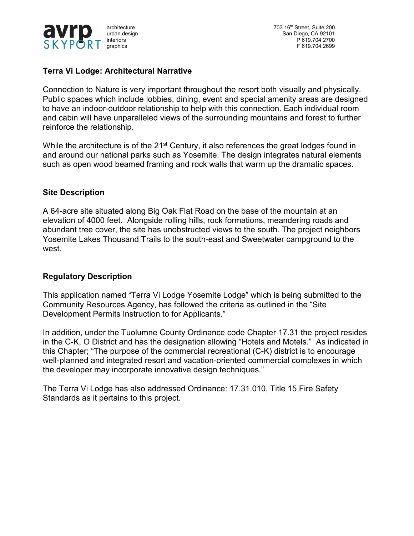

architecture 703 16<sup>th</sup> Street, Suite 200 urban design San Diego, CA 92101 interiors P 619.704.2700 graphics F 619.704.2699

# **Terra Vi Lodge: Architectural Narrative**

Connection to Nature is very important throughout the resort both visually and physically. Public spaces which include lobbies, dining, event and special amenity areas are designed to have an indoor-outdoor relationship to help with this connection. Each individual room and cabin will have unparalleled views of the surrounding mountains and forest to further reinforce the relationship.

While the architecture is of the 21<sup>st</sup> Century, it also references the great lodges found in and around our national parks such as Yosemite. The design integrates natural elements such as open wood beamed framing and rock walls that warm up the dramatic spaces.

#### **Site Description**

A 64-acre site situated along Big Oak Flat Road on the base of the mountain at an elevation of 4000 feet. Alongside rolling hills, rock formations, meandering roads and abundant tree cover, the site has unobstructed views to the south. The project neighbors Yosemite Lakes Thousand Trails to the south-east and Sweetwater campground to the west.

#### **Regulatory Description**

This application named "Terra Vi Lodge Yosemite Lodge" which is being submitted to the Community Resources Agency, has followed the criteria as outlined in the "Site Development Permits Instruction to for Applicants."

In addition, under the Tuolumne County Ordinance code Chapter 17.31 the project resides in the C-K, O District and has the designation allowing "Hotels and Motels." As indicated in this Chapter; "The purpose of the commercial recreational (C-K) district is to encourage well-planned and integrated resort and vacation-oriented commercial complexes in which the developer may incorporate innovative design techniques."

The Terra Vi Lodge has also addressed Ordinance: 17.31.010, Title 15 Fire Safety Standards as it pertains to this project.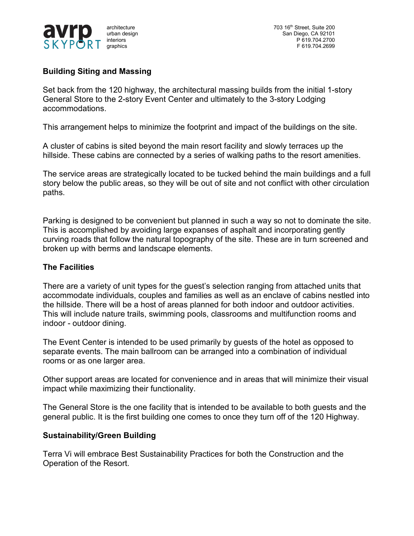

architecture 703 16<sup>th</sup> Street, Suite 200<br>
urban design 703 16<sup>th</sup> Street, Suite 200<br>
San Diego, CA 92101 urban design San Diego, CA 92101<br>interiors Canadian San Diego, CA 92101<br>P 619.704.2700 P 619.704.2700 graphics F 619.704.2699

# **Building Siting and Massing**

Set back from the 120 highway, the architectural massing builds from the initial 1-story General Store to the 2-story Event Center and ultimately to the 3-story Lodging accommodations.

This arrangement helps to minimize the footprint and impact of the buildings on the site.

A cluster of cabins is sited beyond the main resort facility and slowly terraces up the hillside. These cabins are connected by a series of walking paths to the resort amenities.

The service areas are strategically located to be tucked behind the main buildings and a full story below the public areas, so they will be out of site and not conflict with other circulation paths.

Parking is designed to be convenient but planned in such a way so not to dominate the site. This is accomplished by avoiding large expanses of asphalt and incorporating gently curving roads that follow the natural topography of the site. These are in turn screened and broken up with berms and landscape elements.

# **The Facilities**

There are a variety of unit types for the guest's selection ranging from attached units that accommodate individuals, couples and families as well as an enclave of cabins nestled into the hillside. There will be a host of areas planned for both indoor and outdoor activities. This will include nature trails, swimming pools, classrooms and multifunction rooms and indoor - outdoor dining.

The Event Center is intended to be used primarily by guests of the hotel as opposed to separate events. The main ballroom can be arranged into a combination of individual rooms or as one larger area.

Other support areas are located for convenience and in areas that will minimize their visual impact while maximizing their functionality.

The General Store is the one facility that is intended to be available to both guests and the general public. It is the first building one comes to once they turn off of the 120 Highway.

#### **Sustainability/Green Building**

Terra Vi will embrace Best Sustainability Practices for both the Construction and the Operation of the Resort.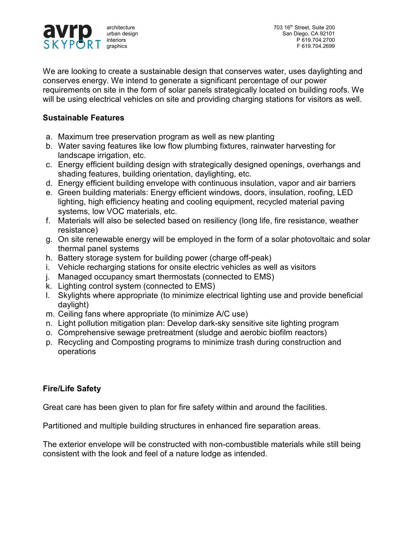

We are looking to create a sustainable design that conserves water, uses daylighting and conserves energy. We intend to generate a significant percentage of our power requirements on site in the form of solar panels strategically located on building roofs. We will be using electrical vehicles on site and providing charging stations for visitors as well.

# **Sustainable Features**

- a. Maximum tree preservation program as well as new planting
- b. Water saving features like low flow plumbing fixtures, rainwater harvesting for landscape irrigation, etc.
- c. Energy efficient building design with strategically designed openings, overhangs and shading features, building orientation, daylighting, etc.
- d. Energy efficient building envelope with continuous insulation, vapor and air barriers
- e. Green building materials: Energy efficient windows, doors, insulation, roofing, LED lighting, high efficiency heating and cooling equipment, recycled material paving systems, low VOC materials, etc.
- f. Materials will also be selected based on resiliency (long life, fire resistance, weather resistance)
- g. On site renewable energy will be employed in the form of a solar photovoltaic and solar thermal panel systems
- h. Battery storage system for building power (charge off-peak)
- i. Vehicle recharging stations for onsite electric vehicles as well as visitors
- j. Managed occupancy smart thermostats (connected to EMS)
- k. Lighting control system (connected to EMS)
- l. Skylights where appropriate (to minimize electrical lighting use and provide beneficial daylight)
- m. Ceiling fans where appropriate (to minimize A/C use)
- n. Light pollution mitigation plan: Develop dark-sky sensitive site lighting program
- o. Comprehensive sewage pretreatment (sludge and aerobic biofilm reactors)
- p. Recycling and Composting programs to minimize trash during construction and operations

# **Fire/Life Safety**

Great care has been given to plan for fire safety within and around the facilities.

Partitioned and multiple building structures in enhanced fire separation areas.

The exterior envelope will be constructed with non-combustible materials while still being consistent with the look and feel of a nature lodge as intended.